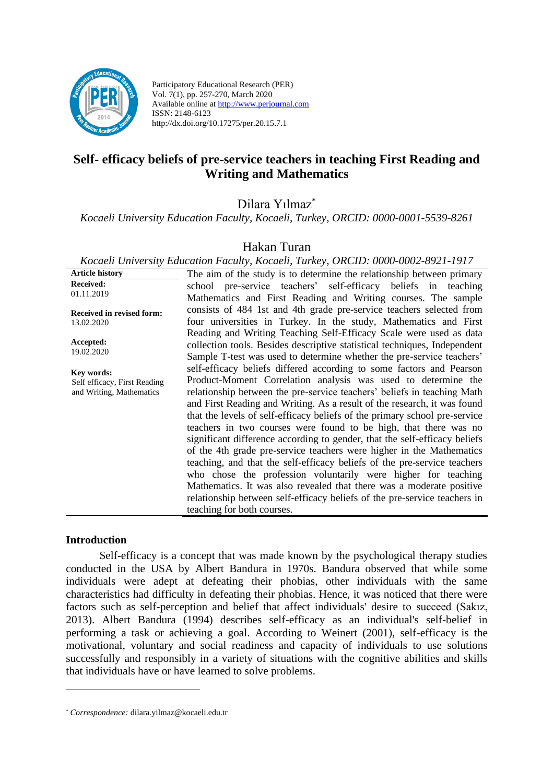

Participatory Educational Research (PER) Vol. 7(1), pp. 257-270, March 2020 Available online at http://www.perjournal.com ISSN: 2148-6123 http://dx.doi.org/10.17275/per.20.15.7.1

# **Self- efficacy beliefs of pre-service teachers in teaching First Reading and Writing and Mathematics**

Dilara Yılmaz\*

*Kocaeli University Education Faculty, Kocaeli, Turkey, ORCID: 0000-0001-5539-8261*

Hakan Turan

*Kocaeli University Education Faculty, Kocaeli, Turkey, ORCID: 0000-0002-8921-1917*

| <b>Article history</b>       | The aim of the study is to determine the relationship between primary      |
|------------------------------|----------------------------------------------------------------------------|
| <b>Received:</b>             | school pre-service teachers' self-efficacy beliefs in teaching             |
| 01.11.2019                   | Mathematics and First Reading and Writing courses. The sample              |
| Received in revised form:    | consists of 484 1st and 4th grade pre-service teachers selected from       |
| 13.02.2020                   | four universities in Turkey. In the study, Mathematics and First           |
|                              | Reading and Writing Teaching Self-Efficacy Scale were used as data         |
| Accepted:                    | collection tools. Besides descriptive statistical techniques, Independent  |
| 19.02.2020                   | Sample T-test was used to determine whether the pre-service teachers'      |
| Key words:                   | self-efficacy beliefs differed according to some factors and Pearson       |
| Self efficacy, First Reading | Product-Moment Correlation analysis was used to determine the              |
| and Writing, Mathematics     | relationship between the pre-service teachers' beliefs in teaching Math    |
|                              | and First Reading and Writing. As a result of the research, it was found   |
|                              | that the levels of self-efficacy beliefs of the primary school pre-service |
|                              | teachers in two courses were found to be high, that there was no           |
|                              | significant difference according to gender, that the self-efficacy beliefs |
|                              | of the 4th grade pre-service teachers were higher in the Mathematics       |
|                              | teaching, and that the self-efficacy beliefs of the pre-service teachers   |
|                              | who chose the profession voluntarily were higher for teaching              |
|                              | Mathematics. It was also revealed that there was a moderate positive       |
|                              | relationship between self-efficacy beliefs of the pre-service teachers in  |
|                              | teaching for both courses.                                                 |

#### **Introduction**

Self-efficacy is a concept that was made known by the psychological therapy studies conducted in the USA by Albert Bandura in 1970s. Bandura observed that while some individuals were adept at defeating their phobias, other individuals with the same characteristics had difficulty in defeating their phobias. Hence, it was noticed that there were factors such as self-perception and belief that affect individuals' desire to succeed (Sakız, 2013). Albert Bandura (1994) describes self-efficacy as an individual's self-belief in performing a task or achieving a goal. According to Weinert (2001), self-efficacy is the motivational, voluntary and social readiness and capacity of individuals to use solutions successfully and responsibly in a variety of situations with the cognitive abilities and skills that individuals have or have learned to solve problems.

*<sup>\*</sup> Correspondence:* [dilara.yilmaz@kocaeli.edu.tr](mailto:dilara.yilmaz@kocaeli.edu.tr)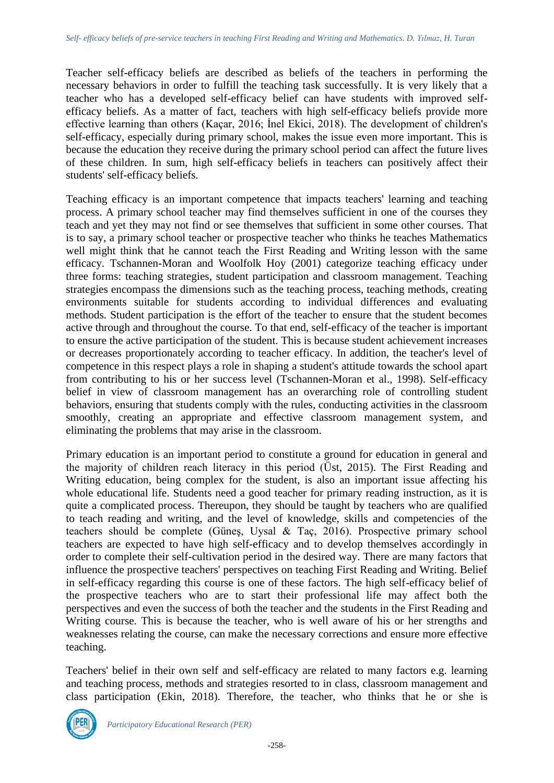Teacher self-efficacy beliefs are described as beliefs of the teachers in performing the necessary behaviors in order to fulfill the teaching task successfully. It is very likely that a teacher who has a developed self-efficacy belief can have students with improved selfefficacy beliefs. As a matter of fact, teachers with high self-efficacy beliefs provide more effective learning than others (Kaçar, 2016; İnel Ekici, 2018). The development of children's self-efficacy, especially during primary school, makes the issue even more important. This is because the education they receive during the primary school period can affect the future lives of these children. In sum, high self-efficacy beliefs in teachers can positively affect their students' self-efficacy beliefs.

Teaching efficacy is an important competence that impacts teachers' learning and teaching process. A primary school teacher may find themselves sufficient in one of the courses they teach and yet they may not find or see themselves that sufficient in some other courses. That is to say, a primary school teacher or prospective teacher who thinks he teaches Mathematics well might think that he cannot teach the First Reading and Writing lesson with the same efficacy. Tschannen-Moran and Woolfolk Hoy (2001) categorize teaching efficacy under three forms: teaching strategies, student participation and classroom management. Teaching strategies encompass the dimensions such as the teaching process, teaching methods, creating environments suitable for students according to individual differences and evaluating methods. Student participation is the effort of the teacher to ensure that the student becomes active through and throughout the course. To that end, self-efficacy of the teacher is important to ensure the active participation of the student. This is because student achievement increases or decreases proportionately according to teacher efficacy. In addition, the teacher's level of competence in this respect plays a role in shaping a student's attitude towards the school apart from contributing to his or her success level (Tschannen-Moran et al., 1998). Self-efficacy belief in view of classroom management has an overarching role of controlling student behaviors, ensuring that students comply with the rules, conducting activities in the classroom smoothly, creating an appropriate and effective classroom management system, and eliminating the problems that may arise in the classroom.

Primary education is an important period to constitute a ground for education in general and the majority of children reach literacy in this period (Üst, 2015). The First Reading and Writing education, being complex for the student, is also an important issue affecting his whole educational life. Students need a good teacher for primary reading instruction, as it is quite a complicated process. Thereupon, they should be taught by teachers who are qualified to teach reading and writing, and the level of knowledge, skills and competencies of the teachers should be complete (Güneş, Uysal & Taç, 2016). Prospective primary school teachers are expected to have high self-efficacy and to develop themselves accordingly in order to complete their self-cultivation period in the desired way. There are many factors that influence the prospective teachers' perspectives on teaching First Reading and Writing. Belief in self-efficacy regarding this course is one of these factors. The high self-efficacy belief of the prospective teachers who are to start their professional life may affect both the perspectives and even the success of both the teacher and the students in the First Reading and Writing course. This is because the teacher, who is well aware of his or her strengths and weaknesses relating the course, can make the necessary corrections and ensure more effective teaching.

Teachers' belief in their own self and self-efficacy are related to many factors e.g. learning and teaching process, methods and strategies resorted to in class, classroom management and class participation (Ekin, 2018). Therefore, the teacher, who thinks that he or she is

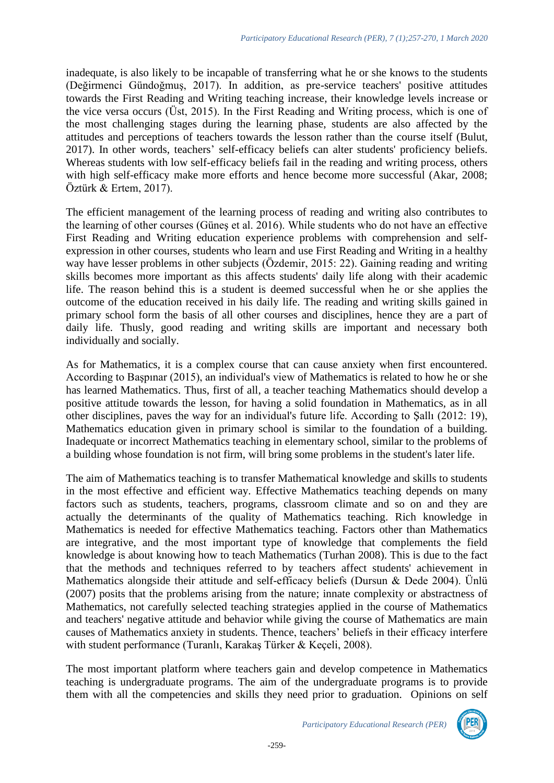inadequate, is also likely to be incapable of transferring what he or she knows to the students (Değirmenci Gündoğmuş, 2017). In addition, as pre-service teachers' positive attitudes towards the First Reading and Writing teaching increase, their knowledge levels increase or the vice versa occurs (Üst, 2015). In the First Reading and Writing process, which is one of the most challenging stages during the learning phase, students are also affected by the attitudes and perceptions of teachers towards the lesson rather than the course itself (Bulut, 2017). In other words, teachers' self-efficacy beliefs can alter students' proficiency beliefs. Whereas students with low self-efficacy beliefs fail in the reading and writing process, others with high self-efficacy make more efforts and hence become more successful (Akar, 2008; Öztürk & Ertem, 2017).

The efficient management of the learning process of reading and writing also contributes to the learning of other courses (Güneş et al. 2016). While students who do not have an effective First Reading and Writing education experience problems with comprehension and selfexpression in other courses, students who learn and use First Reading and Writing in a healthy way have lesser problems in other subjects (Özdemir, 2015: 22). Gaining reading and writing skills becomes more important as this affects students' daily life along with their academic life. The reason behind this is a student is deemed successful when he or she applies the outcome of the education received in his daily life. The reading and writing skills gained in primary school form the basis of all other courses and disciplines, hence they are a part of daily life. Thusly, good reading and writing skills are important and necessary both individually and socially.

As for Mathematics, it is a complex course that can cause anxiety when first encountered. According to Başpınar (2015), an individual's view of Mathematics is related to how he or she has learned Mathematics. Thus, first of all, a teacher teaching Mathematics should develop a positive attitude towards the lesson, for having a solid foundation in Mathematics, as in all other disciplines, paves the way for an individual's future life. According to Şallı (2012: 19), Mathematics education given in primary school is similar to the foundation of a building. Inadequate or incorrect Mathematics teaching in elementary school, similar to the problems of a building whose foundation is not firm, will bring some problems in the student's later life.

The aim of Mathematics teaching is to transfer Mathematical knowledge and skills to students in the most effective and efficient way. Effective Mathematics teaching depends on many factors such as students, teachers, programs, classroom climate and so on and they are actually the determinants of the quality of Mathematics teaching. Rich knowledge in Mathematics is needed for effective Mathematics teaching. Factors other than Mathematics are integrative, and the most important type of knowledge that complements the field knowledge is about knowing how to teach Mathematics (Turhan 2008). This is due to the fact that the methods and techniques referred to by teachers affect students' achievement in Mathematics alongside their attitude and self-efficacy beliefs (Dursun & Dede 2004). Ünlü (2007) posits that the problems arising from the nature; innate complexity or abstractness of Mathematics, not carefully selected teaching strategies applied in the course of Mathematics and teachers' negative attitude and behavior while giving the course of Mathematics are main causes of Mathematics anxiety in students. Thence, teachers' beliefs in their efficacy interfere with student performance (Turanlı, Karakaş Türker & Keçeli, 2008).

The most important platform where teachers gain and develop competence in Mathematics teaching is undergraduate programs. The aim of the undergraduate programs is to provide them with all the competencies and skills they need prior to graduation. Opinions on self

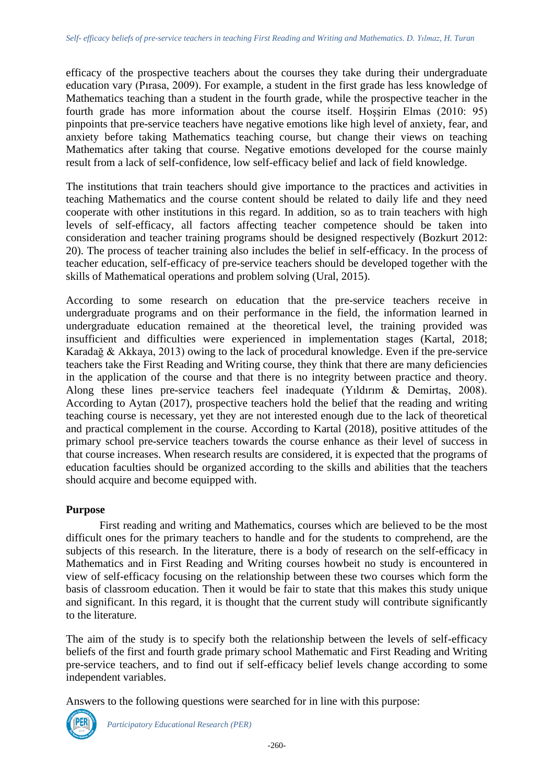efficacy of the prospective teachers about the courses they take during their undergraduate education vary (Pırasa, 2009). For example, a student in the first grade has less knowledge of Mathematics teaching than a student in the fourth grade, while the prospective teacher in the fourth grade has more information about the course itself. Hoşşirin Elmas (2010: 95) pinpoints that pre-service teachers have negative emotions like high level of anxiety, fear, and anxiety before taking Mathematics teaching course, but change their views on teaching Mathematics after taking that course. Negative emotions developed for the course mainly result from a lack of self-confidence, low self-efficacy belief and lack of field knowledge.

The institutions that train teachers should give importance to the practices and activities in teaching Mathematics and the course content should be related to daily life and they need cooperate with other institutions in this regard. In addition, so as to train teachers with high levels of self-efficacy, all factors affecting teacher competence should be taken into consideration and teacher training programs should be designed respectively (Bozkurt 2012: 20). The process of teacher training also includes the belief in self-efficacy. In the process of teacher education, self-efficacy of pre-service teachers should be developed together with the skills of Mathematical operations and problem solving (Ural, 2015).

According to some research on education that the pre-service teachers receive in undergraduate programs and on their performance in the field, the information learned in undergraduate education remained at the theoretical level, the training provided was insufficient and difficulties were experienced in implementation stages (Kartal, 2018; Karadağ & Akkaya, 2013) owing to the lack of procedural knowledge. Even if the pre-service teachers take the First Reading and Writing course, they think that there are many deficiencies in the application of the course and that there is no integrity between practice and theory. Along these lines pre-service teachers feel inadequate (Yıldırım & Demirtaş, 2008). According to Aytan (2017), prospective teachers hold the belief that the reading and writing teaching course is necessary, yet they are not interested enough due to the lack of theoretical and practical complement in the course. According to Kartal (2018), positive attitudes of the primary school pre-service teachers towards the course enhance as their level of success in that course increases. When research results are considered, it is expected that the programs of education faculties should be organized according to the skills and abilities that the teachers should acquire and become equipped with.

# **Purpose**

First reading and writing and Mathematics, courses which are believed to be the most difficult ones for the primary teachers to handle and for the students to comprehend, are the subjects of this research. In the literature, there is a body of research on the self-efficacy in Mathematics and in First Reading and Writing courses howbeit no study is encountered in view of self-efficacy focusing on the relationship between these two courses which form the basis of classroom education. Then it would be fair to state that this makes this study unique and significant. In this regard, it is thought that the current study will contribute significantly to the literature.

The aim of the study is to specify both the relationship between the levels of self-efficacy beliefs of the first and fourth grade primary school Mathematic and First Reading and Writing pre-service teachers, and to find out if self-efficacy belief levels change according to some independent variables.

Answers to the following questions were searched for in line with this purpose:



*Participatory Educational Research (PER)*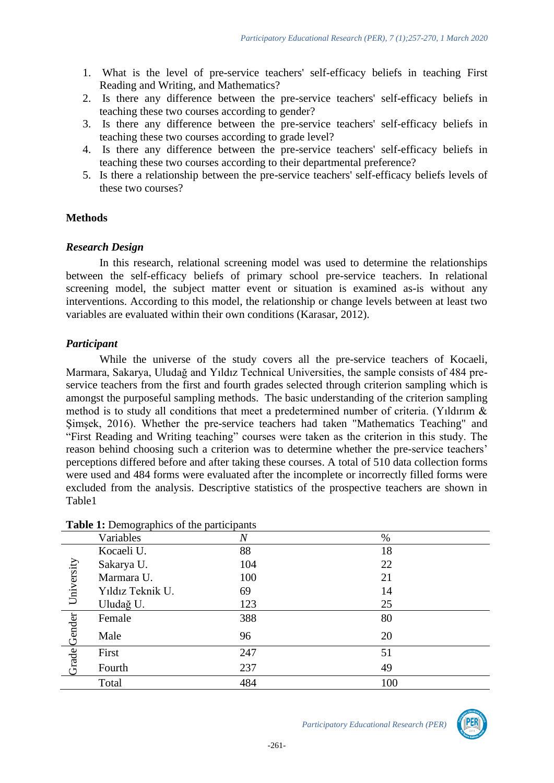- 1. What is the level of pre-service teachers' self-efficacy beliefs in teaching First Reading and Writing, and Mathematics?
- 2. Is there any difference between the pre-service teachers' self-efficacy beliefs in teaching these two courses according to gender?
- 3. Is there any difference between the pre-service teachers' self-efficacy beliefs in teaching these two courses according to grade level?
- 4. Is there any difference between the pre-service teachers' self-efficacy beliefs in teaching these two courses according to their departmental preference?
- 5. Is there a relationship between the pre-service teachers' self-efficacy beliefs levels of these two courses?

### **Methods**

#### *Research Design*

In this research, relational screening model was used to determine the relationships between the self-efficacy beliefs of primary school pre-service teachers. In relational screening model, the subject matter event or situation is examined as-is without any interventions. According to this model, the relationship or change levels between at least two variables are evaluated within their own conditions (Karasar, 2012).

### *Participant*

While the universe of the study covers all the pre-service teachers of Kocaeli, Marmara, Sakarya, Uludağ and Yıldız Technical Universities, the sample consists of 484 preservice teachers from the first and fourth grades selected through criterion sampling which is amongst the purposeful sampling methods. The basic understanding of the criterion sampling method is to study all conditions that meet a predetermined number of criteria. (Yıldırım & Şimşek, 2016). Whether the pre-service teachers had taken "Mathematics Teaching" and "First Reading and Writing teaching" courses were taken as the criterion in this study. The reason behind choosing such a criterion was to determine whether the pre-service teachers' perceptions differed before and after taking these courses. A total of 510 data collection forms were used and 484 forms were evaluated after the incomplete or incorrectly filled forms were excluded from the analysis. Descriptive statistics of the prospective teachers are shown in Table1

|            | Variables        | $\overline{N}$ | $\%$ |
|------------|------------------|----------------|------|
|            | Kocaeli U.       | 88             | 18   |
|            | Sakarya U.       | 104            | 22   |
|            | Marmara U.       | 100            | 21   |
| University | Yıldız Teknik U. | 69             | 14   |
|            | Uludağ U.        | 123            | 25   |
|            | Female           | 388            | 80   |
| Gender     | Male             | 96             | 20   |
|            | First            | 247            | 51   |
| Grade      | Fourth           | 237            | 49   |
|            | Total            | 484            | 100  |

### **Table 1:** Demographics of the participants



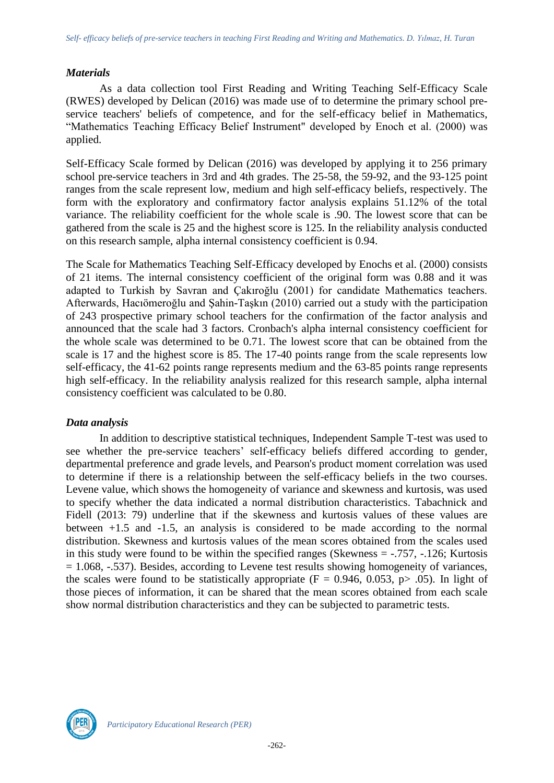#### *Materials*

As a data collection tool First Reading and Writing Teaching Self-Efficacy Scale (RWES) developed by Delican (2016) was made use of to determine the primary school preservice teachers' beliefs of competence, and for the self-efficacy belief in Mathematics, "Mathematics Teaching Efficacy Belief Instrument" developed by Enoch et al. (2000) was applied.

Self-Efficacy Scale formed by Delican (2016) was developed by applying it to 256 primary school pre-service teachers in 3rd and 4th grades. The 25-58, the 59-92, and the 93-125 point ranges from the scale represent low, medium and high self-efficacy beliefs, respectively. The form with the exploratory and confirmatory factor analysis explains 51.12% of the total variance. The reliability coefficient for the whole scale is .90. The lowest score that can be gathered from the scale is 25 and the highest score is 125. In the reliability analysis conducted on this research sample, alpha internal consistency coefficient is 0.94.

The Scale for Mathematics Teaching Self-Efficacy developed by Enochs et al. (2000) consists of 21 items. The internal consistency coefficient of the original form was 0.88 and it was adapted to Turkish by Savran and Çakıroğlu (2001) for candidate Mathematics teachers. Afterwards, Hacıömeroğlu and Şahin-Taşkın (2010) carried out a study with the participation of 243 prospective primary school teachers for the confirmation of the factor analysis and announced that the scale had 3 factors. Cronbach's alpha internal consistency coefficient for the whole scale was determined to be 0.71. The lowest score that can be obtained from the scale is 17 and the highest score is 85. The 17-40 points range from the scale represents low self-efficacy, the 41-62 points range represents medium and the 63-85 points range represents high self-efficacy. In the reliability analysis realized for this research sample, alpha internal consistency coefficient was calculated to be 0.80.

# *Data analysis*

In addition to descriptive statistical techniques, Independent Sample T-test was used to see whether the pre-service teachers' self-efficacy beliefs differed according to gender, departmental preference and grade levels, and Pearson's product moment correlation was used to determine if there is a relationship between the self-efficacy beliefs in the two courses. Levene value, which shows the homogeneity of variance and skewness and kurtosis, was used to specify whether the data indicated a normal distribution characteristics. Tabachnick and Fidell (2013: 79) underline that if the skewness and kurtosis values of these values are between +1.5 and -1.5, an analysis is considered to be made according to the normal distribution. Skewness and kurtosis values of the mean scores obtained from the scales used in this study were found to be within the specified ranges (Skewness = -.757, -.126; Kurtosis  $= 1.068, -0.537$ . Besides, according to Levene test results showing homogeneity of variances, the scales were found to be statistically appropriate ( $F = 0.946, 0.053, p > .05$ ). In light of those pieces of information, it can be shared that the mean scores obtained from each scale show normal distribution characteristics and they can be subjected to parametric tests.

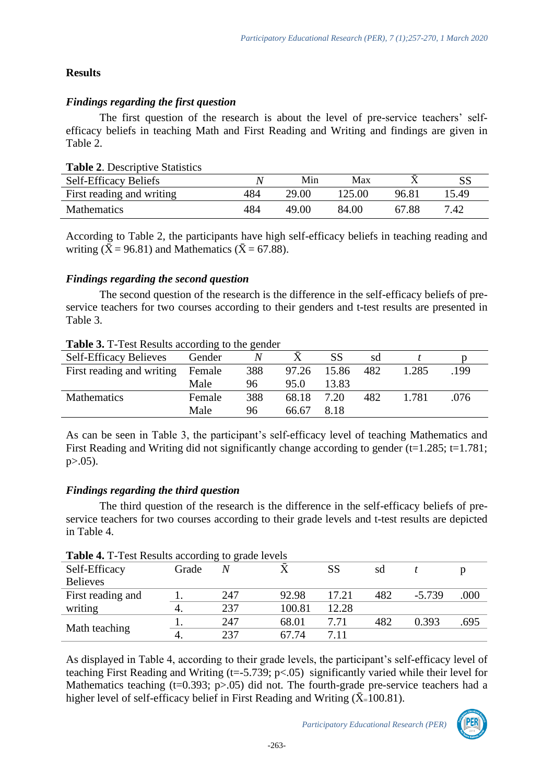# **Results**

# *Findings regarding the first question*

The first question of the research is about the level of pre-service teachers' selfefficacy beliefs in teaching Math and First Reading and Writing and findings are given in Table 2.

| <b>Table 2. Descriptive Statistics</b> |     |       |        |       |       |
|----------------------------------------|-----|-------|--------|-------|-------|
| <b>Self-Efficacy Beliefs</b>           |     | Min   | Max    |       |       |
| First reading and writing              | 484 | 29.00 | 125.00 | 96.81 | 15.49 |
| Mathematics                            | 484 | 49.00 | 84.00  | 67.88 | 7.42  |

According to Table 2, the participants have high self-efficacy beliefs in teaching reading and writing ( $\bar{X}$  = 96.81) and Mathematics ( $\bar{X}$  = 67.88).

# *Findings regarding the second question*

The second question of the research is the difference in the self-efficacy beliefs of preservice teachers for two courses according to their genders and t-test results are presented in Table 3.

# **Table 3.** T-Test Results according to the gender

| <b>Self-Efficacy Believes</b>    | Gender |     |       | SS    | sd  |       |      |  |
|----------------------------------|--------|-----|-------|-------|-----|-------|------|--|
| First reading and writing Female |        | 388 | 97.26 | 15.86 | 482 | 1.285 | 199  |  |
|                                  | Male   | 96  | 95.0  | 13.83 |     |       |      |  |
| <b>Mathematics</b>               | Female | 388 | 68.18 | 7.20  | 482 | 1.781 | .076 |  |
|                                  | Male   | 96  | 66.67 | 8.18  |     |       |      |  |

As can be seen in Table 3, the participant's self-efficacy level of teaching Mathematics and First Reading and Writing did not significantly change according to gender ( $t=1.285$ ;  $t=1.781$ ;  $p > .05$ ).

# *Findings regarding the third question*

The third question of the research is the difference in the self-efficacy beliefs of preservice teachers for two courses according to their grade levels and t-test results are depicted in Table 4.

|                   |       | --------- |        |       |     |          |      |
|-------------------|-------|-----------|--------|-------|-----|----------|------|
| Self-Efficacy     | Grade | N         |        | SS    | sd  |          |      |
| <b>Believes</b>   |       |           |        |       |     |          |      |
| First reading and |       | 247       | 92.98  | 17.21 | 482 | $-5.739$ | .000 |
| writing           |       | 237       | 100.81 | 12.28 |     |          |      |
|                   |       | 247       | 68.01  | 7.71  | 482 | 0.393    | .695 |
| Math teaching     |       | 237       | 67.74  | 7.11  |     |          |      |

|  | <b>Table 4.</b> T-Test Results according to grade levels |  |  |
|--|----------------------------------------------------------|--|--|
|  |                                                          |  |  |

As displayed in Table 4, according to their grade levels, the participant's self-efficacy level of teaching First Reading and Writing ( $t = -5.739$ ;  $p < .05$ ) significantly varied while their level for Mathematics teaching  $(t=0.393; p>0.05)$  did not. The fourth-grade pre-service teachers had a higher level of self-efficacy belief in First Reading and Writing ( $\bar{X}$ =100.81).

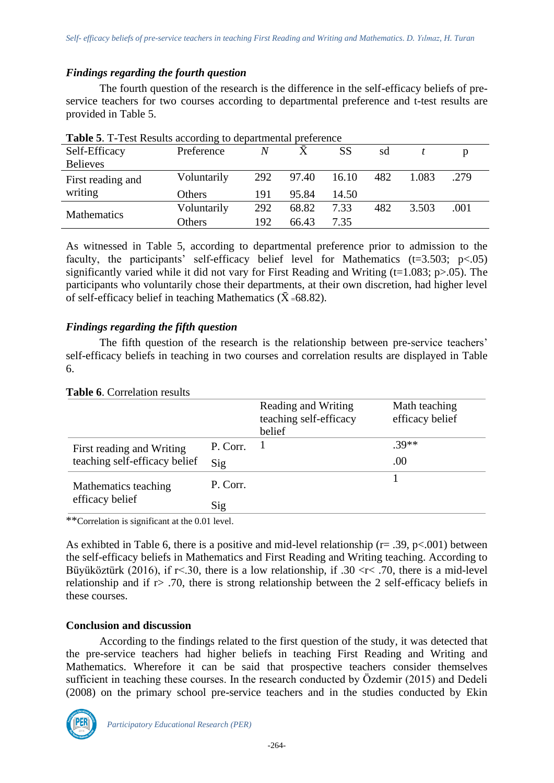# *Findings regarding the fourth question*

The fourth question of the research is the difference in the self-efficacy beliefs of preservice teachers for two courses according to departmental preference and t-test results are provided in Table 5.

| <b>Lable 5.</b> 1-rest results according to departmental preference |               |     |       |       |     |       |      |
|---------------------------------------------------------------------|---------------|-----|-------|-------|-----|-------|------|
| Self-Efficacy                                                       | Preference    | N   |       | SS    | sd  |       |      |
| <b>Believes</b>                                                     |               |     |       |       |     |       |      |
| First reading and                                                   | Voluntarily   | 292 | 97.40 | 16.10 | 482 | 1.083 | .279 |
| writing                                                             | <b>Others</b> | 191 | 95.84 | 14.50 |     |       |      |
| <b>Mathematics</b>                                                  | Voluntarily   | 292 | 68.82 | 7.33  | 482 | 3.503 | .001 |
|                                                                     | Others        | 192 | 66.43 | 7.35  |     |       |      |

| Table 5. T-Test Results according to departmental preference |  |
|--------------------------------------------------------------|--|
|--------------------------------------------------------------|--|

As witnessed in Table 5, according to departmental preference prior to admission to the faculty, the participants' self-efficacy belief level for Mathematics  $(t=3.503; p<.05)$ significantly varied while it did not vary for First Reading and Writing ( $t=1.083$ ;  $p>0.05$ ). The participants who voluntarily chose their departments, at their own discretion, had higher level of self-efficacy belief in teaching Mathematics ( $\bar{X}$  =68.82).

# *Findings regarding the fifth question*

The fifth question of the research is the relationship between pre-service teachers' self-efficacy beliefs in teaching in two courses and correlation results are displayed in Table 6.

| <b>Table 0.</b> Correlation results                        |          |                                                         |                                  |
|------------------------------------------------------------|----------|---------------------------------------------------------|----------------------------------|
|                                                            |          | Reading and Writing<br>teaching self-efficacy<br>belief | Math teaching<br>efficacy belief |
| First reading and Writing<br>teaching self-efficacy belief | P. Corr. |                                                         | $.39**$                          |
|                                                            | Sig      |                                                         | .00                              |
| Mathematics teaching<br>efficacy belief                    | P. Corr. |                                                         |                                  |
|                                                            | Sig      |                                                         |                                  |

#### **Table 6**. Correlation results

\*\*Correlation is significant at the 0.01 level.

As exhibted in Table 6, there is a positive and mid-level relationship ( $r = .39$ ,  $p < .001$ ) between the self-efficacy beliefs in Mathematics and First Reading and Writing teaching. According to Büyüköztürk (2016), if  $r$ <.30, there is a low relationship, if .30 < $r$ <.70, there is a mid-level relationship and if  $r > .70$ , there is strong relationship between the 2 self-efficacy beliefs in these courses.

# **Conclusion and discussion**

According to the findings related to the first question of the study, it was detected that the pre-service teachers had higher beliefs in teaching First Reading and Writing and Mathematics. Wherefore it can be said that prospective teachers consider themselves sufficient in teaching these courses. In the research conducted by Özdemir (2015) and Dedeli (2008) on the primary school pre-service teachers and in the studies conducted by Ekin

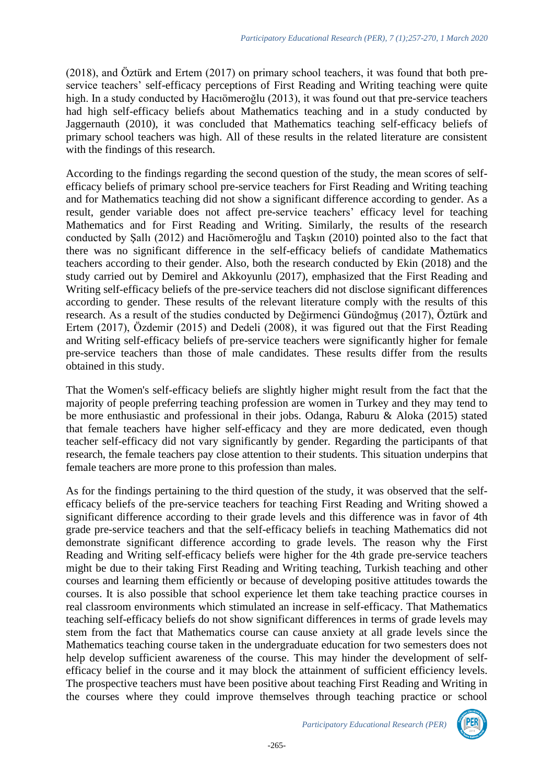(2018), and Öztürk and Ertem (2017) on primary school teachers, it was found that both preservice teachers' self-efficacy perceptions of First Reading and Writing teaching were quite high. In a study conducted by Hacıömeroğlu (2013), it was found out that pre-service teachers had high self-efficacy beliefs about Mathematics teaching and in a study conducted by Jaggernauth (2010), it was concluded that Mathematics teaching self-efficacy beliefs of primary school teachers was high. All of these results in the related literature are consistent with the findings of this research.

According to the findings regarding the second question of the study, the mean scores of selfefficacy beliefs of primary school pre-service teachers for First Reading and Writing teaching and for Mathematics teaching did not show a significant difference according to gender. As a result, gender variable does not affect pre-service teachers' efficacy level for teaching Mathematics and for First Reading and Writing. Similarly, the results of the research conducted by Şallı (2012) and Hacıömeroğlu and Taşkın (2010) pointed also to the fact that there was no significant difference in the self-efficacy beliefs of candidate Mathematics teachers according to their gender. Also, both the research conducted by Ekin (2018) and the study carried out by Demirel and Akkoyunlu (2017), emphasized that the First Reading and Writing self-efficacy beliefs of the pre-service teachers did not disclose significant differences according to gender. These results of the relevant literature comply with the results of this research. As a result of the studies conducted by Değirmenci Gündoğmuş (2017), Öztürk and Ertem (2017), Özdemir (2015) and Dedeli (2008), it was figured out that the First Reading and Writing self-efficacy beliefs of pre-service teachers were significantly higher for female pre-service teachers than those of male candidates. These results differ from the results obtained in this study.

That the Women's self-efficacy beliefs are slightly higher might result from the fact that the majority of people preferring teaching profession are women in Turkey and they may tend to be more enthusiastic and professional in their jobs. Odanga, Raburu & Aloka (2015) stated that female teachers have higher self-efficacy and they are more dedicated, even though teacher self-efficacy did not vary significantly by gender. Regarding the participants of that research, the female teachers pay close attention to their students. This situation underpins that female teachers are more prone to this profession than males.

As for the findings pertaining to the third question of the study, it was observed that the selfefficacy beliefs of the pre-service teachers for teaching First Reading and Writing showed a significant difference according to their grade levels and this difference was in favor of 4th grade pre-service teachers and that the self-efficacy beliefs in teaching Mathematics did not demonstrate significant difference according to grade levels. The reason why the First Reading and Writing self-efficacy beliefs were higher for the 4th grade pre-service teachers might be due to their taking First Reading and Writing teaching, Turkish teaching and other courses and learning them efficiently or because of developing positive attitudes towards the courses. It is also possible that school experience let them take teaching practice courses in real classroom environments which stimulated an increase in self-efficacy. That Mathematics teaching self-efficacy beliefs do not show significant differences in terms of grade levels may stem from the fact that Mathematics course can cause anxiety at all grade levels since the Mathematics teaching course taken in the undergraduate education for two semesters does not help develop sufficient awareness of the course. This may hinder the development of selfefficacy belief in the course and it may block the attainment of sufficient efficiency levels. The prospective teachers must have been positive about teaching First Reading and Writing in the courses where they could improve themselves through teaching practice or school

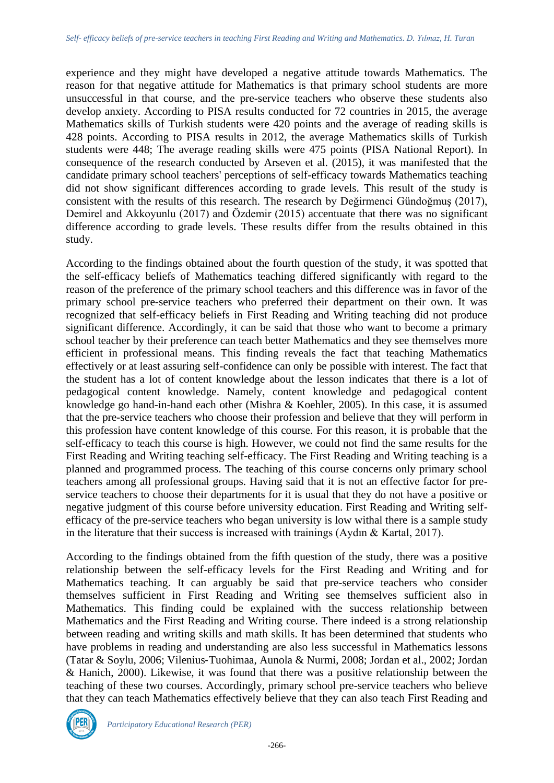experience and they might have developed a negative attitude towards Mathematics. The reason for that negative attitude for Mathematics is that primary school students are more unsuccessful in that course, and the pre-service teachers who observe these students also develop anxiety. According to PISA results conducted for 72 countries in 2015, the average Mathematics skills of Turkish students were 420 points and the average of reading skills is 428 points. According to PISA results in 2012, the average Mathematics skills of Turkish students were 448; The average reading skills were 475 points (PISA National Report). In consequence of the research conducted by Arseven et al. (2015), it was manifested that the candidate primary school teachers' perceptions of self-efficacy towards Mathematics teaching did not show significant differences according to grade levels. This result of the study is consistent with the results of this research. The research by Değirmenci Gündoğmuş (2017), Demirel and Akkoyunlu (2017) and Özdemir (2015) accentuate that there was no significant difference according to grade levels. These results differ from the results obtained in this study.

According to the findings obtained about the fourth question of the study, it was spotted that the self-efficacy beliefs of Mathematics teaching differed significantly with regard to the reason of the preference of the primary school teachers and this difference was in favor of the primary school pre-service teachers who preferred their department on their own. It was recognized that self-efficacy beliefs in First Reading and Writing teaching did not produce significant difference. Accordingly, it can be said that those who want to become a primary school teacher by their preference can teach better Mathematics and they see themselves more efficient in professional means. This finding reveals the fact that teaching Mathematics effectively or at least assuring self-confidence can only be possible with interest. The fact that the student has a lot of content knowledge about the lesson indicates that there is a lot of pedagogical content knowledge. Namely, content knowledge and pedagogical content knowledge go hand-in-hand each other (Mishra & Koehler, 2005). In this case, it is assumed that the pre-service teachers who choose their profession and believe that they will perform in this profession have content knowledge of this course. For this reason, it is probable that the self-efficacy to teach this course is high. However, we could not find the same results for the First Reading and Writing teaching self-efficacy. The First Reading and Writing teaching is a planned and programmed process. The teaching of this course concerns only primary school teachers among all professional groups. Having said that it is not an effective factor for preservice teachers to choose their departments for it is usual that they do not have a positive or negative judgment of this course before university education. First Reading and Writing selfefficacy of the pre-service teachers who began university is low withal there is a sample study in the literature that their success is increased with trainings (Aydın & Kartal, 2017).

According to the findings obtained from the fifth question of the study, there was a positive relationship between the self-efficacy levels for the First Reading and Writing and for Mathematics teaching. It can arguably be said that pre-service teachers who consider themselves sufficient in First Reading and Writing see themselves sufficient also in Mathematics. This finding could be explained with the success relationship between Mathematics and the First Reading and Writing course. There indeed is a strong relationship between reading and writing skills and math skills. It has been determined that students who have problems in reading and understanding are also less successful in Mathematics lessons (Tatar & Soylu, 2006; Vilenius‐Tuohimaa, Aunola & Nurmi, 2008; Jordan et al., 2002; Jordan & Hanich, 2000). Likewise, it was found that there was a positive relationship between the teaching of these two courses. Accordingly, primary school pre-service teachers who believe that they can teach Mathematics effectively believe that they can also teach First Reading and



*Participatory Educational Research (PER)*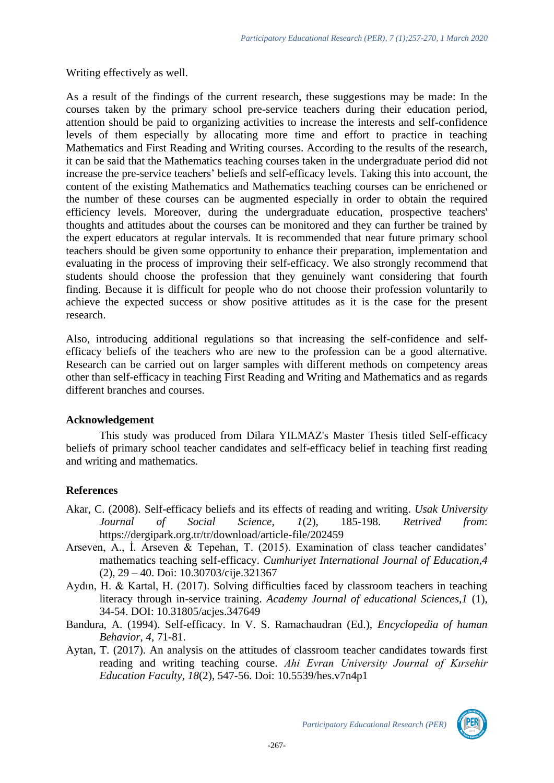Writing effectively as well.

As a result of the findings of the current research, these suggestions may be made: In the courses taken by the primary school pre-service teachers during their education period, attention should be paid to organizing activities to increase the interests and self-confidence levels of them especially by allocating more time and effort to practice in teaching Mathematics and First Reading and Writing courses. According to the results of the research, it can be said that the Mathematics teaching courses taken in the undergraduate period did not increase the pre-service teachers' beliefs and self-efficacy levels. Taking this into account, the content of the existing Mathematics and Mathematics teaching courses can be enrichened or the number of these courses can be augmented especially in order to obtain the required efficiency levels. Moreover, during the undergraduate education, prospective teachers' thoughts and attitudes about the courses can be monitored and they can further be trained by the expert educators at regular intervals. It is recommended that near future primary school teachers should be given some opportunity to enhance their preparation, implementation and evaluating in the process of improving their self-efficacy. We also strongly recommend that students should choose the profession that they genuinely want considering that fourth finding. Because it is difficult for people who do not choose their profession voluntarily to achieve the expected success or show positive attitudes as it is the case for the present research.

Also, introducing additional regulations so that increasing the self-confidence and selfefficacy beliefs of the teachers who are new to the profession can be a good alternative. Research can be carried out on larger samples with different methods on competency areas other than self-efficacy in teaching First Reading and Writing and Mathematics and as regards different branches and courses.

# **Acknowledgement**

This study was produced from Dilara YILMAZ's Master Thesis titled Self-efficacy beliefs of primary school teacher candidates and self-efficacy belief in teaching first reading and writing and mathematics.

# **References**

- Akar, C. (2008). Self-efficacy beliefs and its effects of reading and writing. *Usak University Journal of Social Science, 1*(2), 185-198. *Retrived from*: <https://dergipark.org.tr/tr/download/article-file/202459>
- Arseven, A., İ. Arseven & Tepehan, T. (2015). Examination of class teacher candidates' mathematics teaching self-efficacy. *Cumhuriyet International Journal of Education*,*4* (2), 29 – 40. Doi: [10.30703/cije.321367](http://doi.org/10.30703/cije.321367)
- Aydın, H. & Kartal, H. (2017). Solving difficulties faced by classroom teachers in teaching literacy through in-service training. *Academy Journal of educational Sciences,1* (1), 34-54. DOI: 10.31805/acjes.347649
- Bandura, A. (1994). Self-efficacy. In V. S. Ramachaudran (Ed.), *Encyclopedia of human Behavior*, *4*, 71-81.
- Aytan, T. (2017). An analysis on the attitudes of classroom teacher candidates towards first reading and writing teaching course. *Ahi Evran University Journal of Kırsehir Education Faculty*, *18*(2), 547-56. Doi: 10.5539/hes.v7n4p1

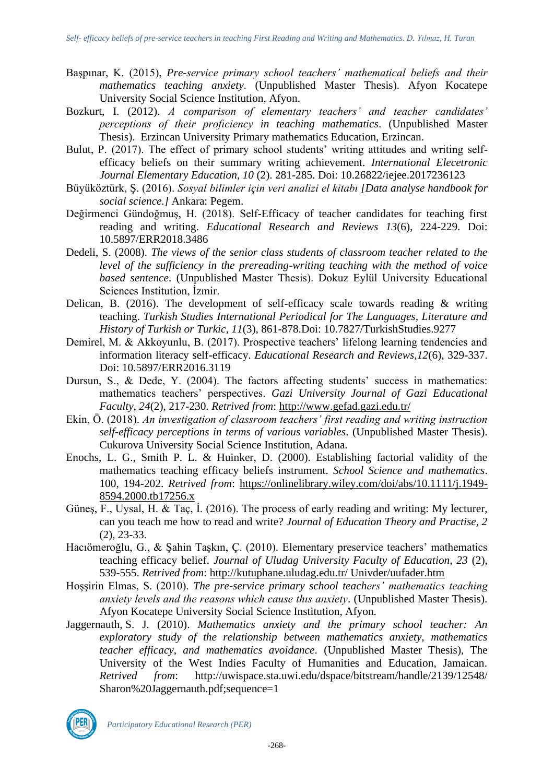- Başpınar, K. (2015), *Pre-service primary school teachers' mathematical beliefs and their mathematics teaching anxiety*. (Unpublished Master Thesis). Afyon Kocatepe University Social Science Institution, Afyon.
- Bozkurt, I. (2012). *A comparison of elementary teachers' and teacher candidates' perceptions of their profıciency in teaching mathematics*. (Unpublished Master Thesis). Erzincan University Primary mathematics Education, Erzincan.
- Bulut, P. (2017). The effect of primary school students' writing attitudes and writing selfefficacy beliefs on their summary writing achievement. *International Elecetronic Journal Elementary Education, 10* (2). 281-285. Doi: 10.26822/iejee.2017236123
- Büyüköztürk, Ş. (2016). *Sosyal bilimler için veri analizi el kitabı [Data analyse handbook for social science.]* Ankara: Pegem.
- Değirmenci Gündoğmuş, H. (2018). Self-Efficacy of teacher candidates for teaching first reading and writing. *Educational Research and Reviews 13*(6), 224-229. Doi: 10.5897/ERR2018.3486
- Dedeli, S. (2008). *The views of the senior class students of classroom teacher related to the level of the sufficiency in the prereading-writing teaching with the method of voice based sentence*. (Unpublished Master Thesis). Dokuz Eylül University Educational Sciences Institution, İzmir.
- Delican, B. (2016). The development of self-efficacy scale towards reading & writing teaching. *Turkish Studies International Periodical for The Languages, Literature and History of Turkish or Turkic*, *11*(3), 861-878.Doi: 10.7827/TurkishStudies.9277
- Demirel, M. & Akkoyunlu, B. (2017). Prospective teachers' lifelong learning tendencies and information literacy self-efficacy. *Educational Research and Reviews,12*(6), 329-337. Doi: 10.5897/ERR2016.3119
- Dursun, S., & Dede, Y. (2004). The factors affecting students' success in mathematics: mathematics teachers' perspectives. *Gazi University Journal of Gazi Educational Faculty, 24*(2), 217-230. *Retrived from*: [http://www.gefad.gazi.edu.tr/](http://www.gefad.gazi.edu.tr/tr/download/article-file/77327)
- Ekin, Ö. (2018). *An investigation of classroom teachers' first reading and writing instruction self-efficacy perceptions in terms of various variables*. (Unpublished Master Thesis). Cukurova University Social Science Institution, Adana.
- Enochs, L. G., Smith P. L. & Huinker, D. (2000). Establishing factorial validity of the mathematics teaching efficacy beliefs instrument. *School Science and mathematics*. 100, 194-202. *Retrived from*: [https://onlinelibrary.wiley.com/doi/abs/10.1111/j.1949-](https://onlinelibrary.wiley.com/doi/abs/10.1111/j.1949-8594.2000.tb17256.x) [8594.2000.tb17256.x](https://onlinelibrary.wiley.com/doi/abs/10.1111/j.1949-8594.2000.tb17256.x)
- Güneş, F., Uysal, H. & Taç, İ. (2016). The process of early reading and writing: My lecturer, can you teach me how to read and write? *Journal of Education Theory and Practise, 2* (2), 23-33.
- Hacıömeroğlu, G., & Şahin Taşkın, Ç. (2010). Elementary preservice teachers' mathematics teaching efficacy belief. *Journal of Uludag University Faculty of Education, 23* (2), 539-555. *Retrived from*: [http://kutuphane.uludag.edu.tr/ Univder/uufader.htm](http://kutuphane.uludag.edu.tr/%20Univder/uufader.htm)
- Hoşşirin Elmas, S. (2010). *The pre-service primary school teachers' mathematics teaching anxiety levels and the reasons which cause thıs anxiety*. (Unpublished Master Thesis). Afyon Kocatepe University Social Science Institution, Afyon.
- Jaggernauth, S. J. (2010). *Mathematics anxiety and the primary school teacher: An exploratory study of the relationship between mathematics anxiety, mathematics teacher efficacy, and mathematics avoidance*. (Unpublished Master Thesis), The University of the West Indies Faculty of Humanities and Education, Jamaican. *Retrived from*: http://uwispace.sta.uwi.edu/dspace/bitstream/handle/2139/12548/ Sharon%20Jaggernauth.pdf;sequence=1

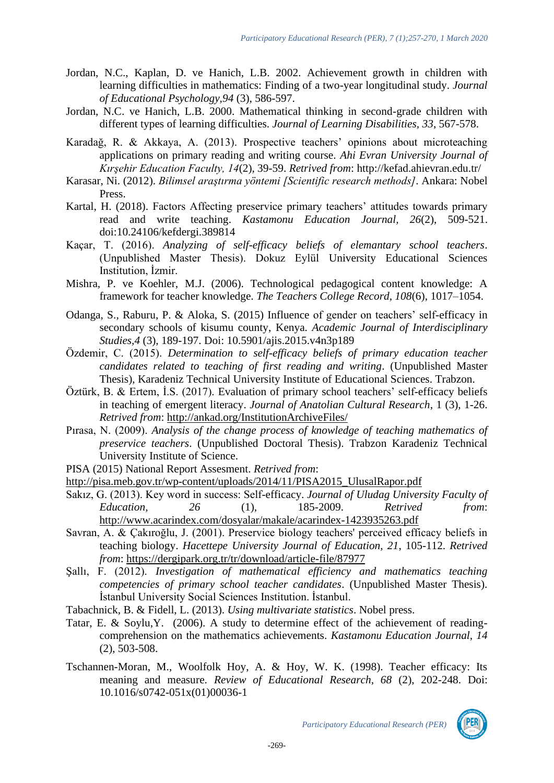- Jordan, N.C., Kaplan, D. ve Hanich, L.B. 2002. Achievement growth in children with learning difficulties in mathematics: Finding of a two-year longitudinal study. *Journal of Educational Psychology,94* (3), 586-597.
- Jordan, N.C. ve Hanich, L.B. 2000. Mathematical thinking in second-grade children with different types of learning difficulties. *Journal of Learning Disabilities, 33*, 567-578.
- Karadağ, R. & Akkaya, A. (2013). Prospective teachers' opinions about microteaching applications on primary reading and writing course. *Ahi Evran University Journal of Kırşehir Education Faculty, 14*(2), 39-59. *Retrived from*:<http://kefad.ahievran.edu.tr/>
- Karasar, Ni. (2012). *Bilimsel araştırma yöntemi [Scientific research methods]*. Ankara: Nobel Press.
- Kartal, H. (2018). Factors Affecting preservice primary teachers' attitudes towards primary read and write teaching. *Kastamonu Education Journal, 26*(2), 509-521. doi:10.24106/kefdergi.389814
- Kaçar, T. (2016). *Analyzing of self-efficacy beliefs of elemantary school teachers*. (Unpublished Master Thesis). Dokuz Eylül University Educational Sciences Institution, İzmir.
- Mishra, P. ve Koehler, M.J. (2006). Technological pedagogical content knowledge: A framework for teacher knowledge. *The Teachers College Record, 108*(6), 1017–1054.
- Odanga, S., Raburu, P. & Aloka, S. (2015) Influence of gender on teachers' self-efficacy in secondary schools of kisumu county, Kenya. *Academic Journal of Interdisciplinary Studies,4* (3), 189-197. Doi: 10.5901/ajis.2015.v4n3p189
- Özdemir, C. (2015). *Determination to self-efficacy beliefs of primary education teacher candidates related to teaching of first reading and writing*. (Unpublished Master Thesis), Karadeniz Technical University Institute of Educational Sciences. Trabzon.
- Öztürk, B. & Ertem, İ.S. (2017). Evaluation of primary school teachers' self-efficacy beliefs in teaching of emergent literacy. *Journal of Anatolian Cultural Research*, 1 (3), 1-26. *Retrived from*: [http://ankad.org/InstitutionArchiveFiles/](http://ankad.org/InstitutionArchiveFiles/4e5b46f6-8c60-e711-80f0-00224d68272d/3f7e4ffc-9160-e711-80f0-00224d68272d/Cilt1Sayi3/b103edbc-cf4d-42e9-98f5-d4c116325777_20180103003.pdf)
- Pırasa, N. (2009). *Analysis of the change process of knowledge of teaching mathematics of preservice teachers*. (Unpublished Doctoral Thesis). Trabzon Karadeniz Technical University Institute of Science.
- PISA (2015) National Report Assesment. *Retrived from*:
- [http://pisa.meb.gov.tr/wp-content/uploads/2014/11/PISA2015\\_UlusalRapor.pdf](http://pisa.meb.gov.tr/wp-content/uploads/2014/11/PISA2015_UlusalRapor.pdf)
- Sakız, G. (2013). Key word in success: Self-efficacy. *Journal of Uludag University Faculty of Education, 26* (1), 185-2009. *Retrived from*: <http://www.acarindex.com/dosyalar/makale/acarindex-1423935263.pdf>
- Savran, A. & Çakıroğlu, J. (2001). Preservice biology teachers' perceived efficacy beliefs in teaching biology. *Hacettepe University Journal of Education, 21*, 105-112. *Retrived from*:<https://dergipark.org.tr/tr/download/article-file/87977>
- Şallı, F. (2012). *Investigation of mathematical efficiency and mathematics teaching competencies of primary school teacher candidates*. (Unpublished Master Thesis). İstanbul University Social Sciences Institution. İstanbul.
- Tabachnick, B. & Fidell, L. (2013). *Using multivariate statistics*. Nobel press.
- Tatar, E. & Soylu,Y. (2006). A study to determine effect of the achievement of readingcomprehension on the mathematics achievements. *Kastamonu Education Journal, 14* (2), 503-508.
- Tschannen-Moran, M., Woolfolk Hoy, A. & Hoy, W. K. (1998). Teacher efficacy: Its meaning and measure. *Review of Educational Research, 68* (2), 202-248. Doi: 10.1016/s0742-051x(01)00036-1